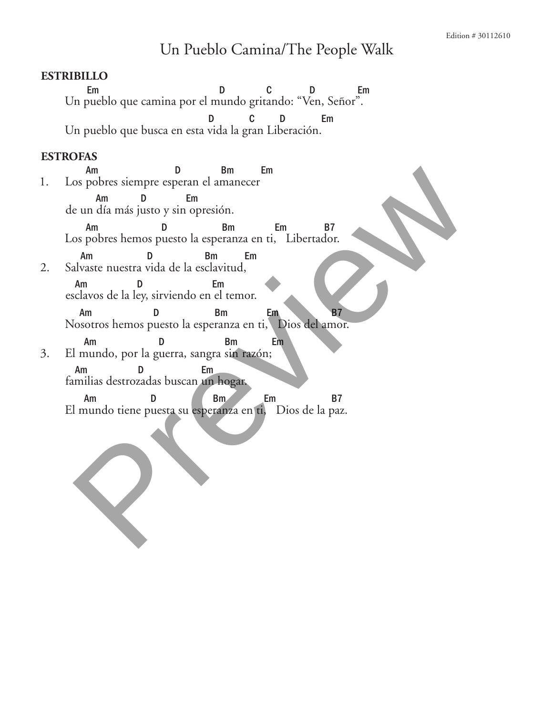## Un Pueblo Camina/The People Walk

## **Estribillo**

Em D C D Em Un pueblo que camina por el mundo gritando: "Ven, Señor". D C D Em Un pueblo que busca en esta vida la gran Liberación.

## **Estrofas**

Am D Bm Em 1. Los pobres siempre esperan el amanecer Am D Em de un día más justo y sin opresión. Am D Bm Em B7 Los pobres hemos puesto la esperanza en ti, Libertador. Am D Bm Em 2. Salvaste nuestra vida de la esclavitud, Am D Em esclavos de la ley, sirviendo en el temor. Am D Bm Em B7 Nosotros hemos puesto la esperanza en ti, Dios del amor. Am D Bm Em 3. El mundo, por la guerra, sangra sin razón; Am D Em familias destrozadas buscan un hogar. Am D<br>El mundo tiene puesta su esperanza en ti, Dios de la paz. El mundo, por la guerra, sangra su reperante en ti, Dios de la paz.<br>
Am a puesta su esperanza en ti, Libertador.<br>
Am a puesta su esperanza en ti, Libertador.<br>
Am a puesta de la esclavitud,<br>
Am a puesta su esperanza en ti,